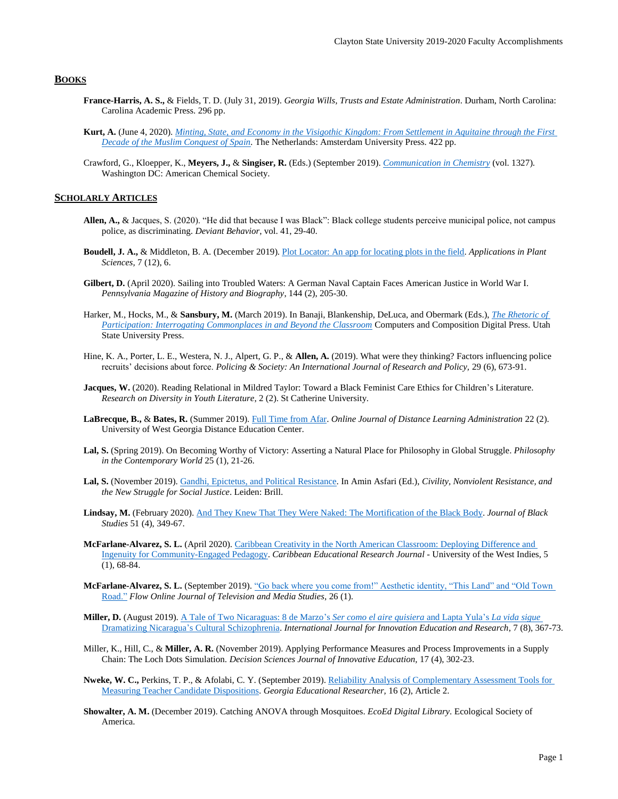## **BOOKS**

- **France-Harris, A. S.,** & Fields, T. D. (July 31, 2019). *Georgia Wills, Trusts and Estate Administration*. Durham, North Carolina: Carolina Academic Press. 296 pp.
- **Kurt, A.** (June 4, 2020). *[Minting, State, and Economy in the Visigothic Kingdom: From Settlement in Aquitaine through the First](https://www.aup.nl/en/book/9789462981645/minting-state-and-economy-in-the-visigothic-kingdom)  [Decade of the Muslim Conquest of Spain.](https://www.aup.nl/en/book/9789462981645/minting-state-and-economy-in-the-visigothic-kingdom)* The Netherlands: Amsterdam University Press. 422 pp.
- Crawford, G., Kloepper, K., **Meyers, J.,** & **Singiser, R.** (Eds.) (September 2019). *[Communication in Chemistry](https://pubs.acs.org/doi/book/10.1021/bk-2019-1327)* (vol. 1327). Washington DC: American Chemical Society.

## **SCHOLARLY ARTICLES**

- **Allen, A.,** & Jacques, S. (2020). "He did that because I was Black": Black college students perceive municipal police, not campus police, as discriminating. *Deviant Behavior*, vol. 41, 29-40.
- **Boudell, J. A.,** & Middleton, B. A. (December 2019)[. Plot Locator: An app for locating plots in the field.](https://www.ncbi.nlm.nih.gov/pmc/articles/PMC6923711/) *Applications in Plant Sciences,* 7 (12), 6.
- **Gilbert, D.** (April 2020). Sailing into Troubled Waters: A German Naval Captain Faces American Justice in World War I. *Pennsylvania Magazine of History and Biography*, 144 (2), 205-30.
- Harker, M., Hocks, M., & **Sansbury, M.** (March 2019). In Banaji, Blankenship, DeLuca, and Obermark (Eds.), *[The Rhetoric of](https://ccdigitalpress.org/book/rhetoric-of-participation/harker_hocks_sansbury/)  [Participation: Interrogating Commonplaces in and Beyond the Classroom](https://ccdigitalpress.org/book/rhetoric-of-participation/harker_hocks_sansbury/)* Computers and Composition Digital Press. Utah State University Press.
- Hine, K. A., Porter, L. E., Westera, N. J., Alpert, G. P., & **Allen, A.** (2019). What were they thinking? Factors influencing police recruits' decisions about force. *Policing & Society: An International Journal of Research and Policy,* 29 (6), 673-91.
- **Jacques, W.** (2020). Reading Relational in Mildred Taylor: Toward a Black Feminist Care Ethics for Children's Literature. *Research on Diversity in Youth Literature*, 2 (2). St Catherine University.
- **LaBrecque, B.,** & **Bates, R.** (Summer 2019)[. Full Time from Afar.](https://www.westga.edu/~distance/ojdla/summer222/bates_labrecque222.html) *Online Journal of Distance Learning Administration* 22 (2). University of West Georgia Distance Education Center.
- **Lal, S.** (Spring 2019). On Becoming Worthy of Victory: Asserting a Natural Place for Philosophy in Global Struggle. *Philosophy in the Contemporary World* 25 (1), 21-26.
- **Lal, S.** (November 2019)[. Gandhi, Epictetus, and Political Resistance.](https://brill.com/view/book/edcoll/9789004417588/BP000004.xml) In Amin Asfari (Ed.), *Civility, Nonviolent Resistance, and the New Struggle for Social Justice*. Leiden: Brill.
- **Lindsay, M.** (February 2020). And [They Knew That They Were Naked: The Mortification of the Black Body.](https://journals.sagepub.com/doi/abs/10.1177/0021934720905566) *Journal of Black Studies* 51 (4), 349-67.
- **McFarlane-Alvarez, S. L.** (April 2020)[. Caribbean Creativity in the North American Classroom: Deploying Difference and](https://cavehill.uwi.edu/fhe/education/publications/past-issues/volume-5-number-1-special-issue-voices-afar/articles/9_cerj-vol-5-no1-mcfarlane-alvarez-(pp68-84).aspx)  [Ingenuity for Community-Engaged Pedagogy.](https://cavehill.uwi.edu/fhe/education/publications/past-issues/volume-5-number-1-special-issue-voices-afar/articles/9_cerj-vol-5-no1-mcfarlane-alvarez-(pp68-84).aspx) *Caribbean Educational Research Journal* - University of the West Indies, 5 (1), 68-84.
- **McFarlane-Alvarez, S. L.** (September 2019). ["Go back where you come from!" Aesthetic identity, "This Land" and "Old Town](https://www.flowjournal.org/2019/09/go-back-where-you-came-from/)  [Road."](https://www.flowjournal.org/2019/09/go-back-where-you-came-from/) *Flow Online Journal of Television and Media Studies*, 26 (1).
- **Miller, D.** (August 2019). [A Tale of Two Nicaraguas: 8 de Marzo's](https://www.ijier.net/index.php/ijier/article/view/1693) *Ser como el aire quisiera* and Lapta Yula's *La vida sigue* [Dramatizing Nicaragua's Cultural Schizophrenia.](https://www.ijier.net/index.php/ijier/article/view/1693) *International Journal for Innovation Education and Research*, 7 (8), 367-73.
- Miller, K., Hill, C., & **Miller, A. R.** (November 2019). Applying Performance Measures and Process Improvements in a Supply Chain: The Loch Dots Simulation. *Decision Sciences Journal of Innovative Education,* 17 (4), 302-23.
- **Nweke, W. C.,** Perkins, T. P., & Afolabi, C. Y. (September 2019)[. Reliability Analysis of Complementary Assessment Tools for](https://digitalcommons.georgiasouthern.edu/gerjournal/vol16/iss2/2/)  [Measuring Teacher Candidate Dispositions.](https://digitalcommons.georgiasouthern.edu/gerjournal/vol16/iss2/2/) *Georgia Educational Researcher,* 16 (2), Article 2.
- **Showalter, A. M.** (December 2019). Catching ANOVA through Mosquitoes. *EcoEd Digital Library*. Ecological Society of America.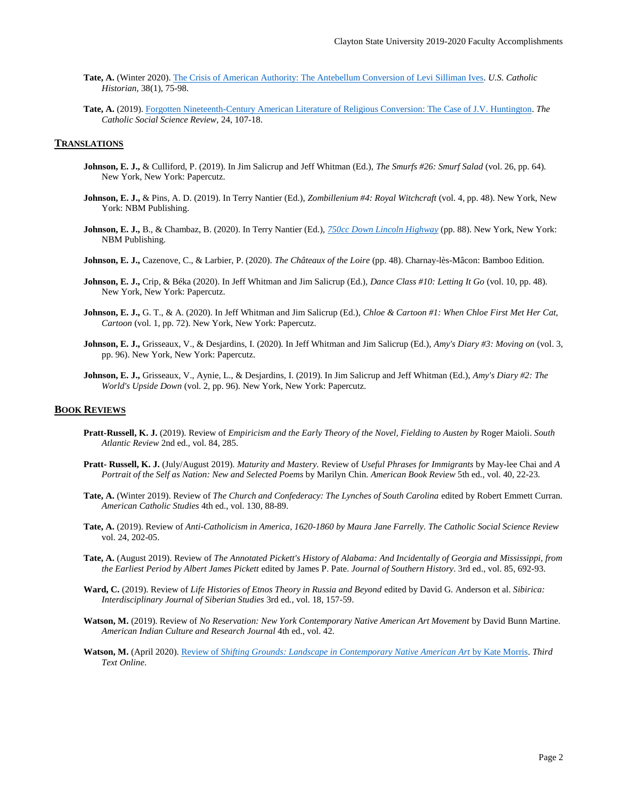- **Tate, A.** (Winter 2020)[. The Crisis of American Authority: The Antebellum Conversion of Levi Silliman Ives.](https://muse.jhu.edu/article/748854) *U.S. Catholic Historian,* 38(1), 75-98.
- **Tate, A.** (2019)[. Forgotten Nineteenth-Century American Literature of Religious Conversion: The Case of J.V. Huntington.](https://www.pdcnet.org/cssr/content/cssr_2019_0024_0107_0118) *The Catholic Social Science Review,* 24, 107-18.

## **TRANSLATIONS**

- **Johnson, E. J.,** & Culliford, P. (2019). In Jim Salicrup and Jeff Whitman (Ed.), *The Smurfs #26: Smurf Salad* (vol. 26, pp. 64). New York, New York: Papercutz.
- **Johnson, E. J.,** & Pins, A. D. (2019). In Terry Nantier (Ed.), *Zombillenium #4: Royal Witchcraft* (vol. 4, pp. 48). New York, New York: NBM Publishing.
- **Johnson, E. J.,** B., & Chambaz, B. (2020). In Terry Nantier (Ed.), *750cc Down [Lincoln Highway](https://www.publishersweekly.com/978-1-68112-245-8)* (pp. 88). New York, New York: NBM Publishing.
- **Johnson, E. J.,** Cazenove, C., & Larbier, P. (2020). *The Châteaux of the Loire* (pp. 48). Charnay-lès-Mâcon: Bamboo Edition.
- **Johnson, E. J.,** Crip, & Béka (2020). In Jeff Whitman and Jim Salicrup (Ed.), *Dance Class #10: Letting It Go* (vol. 10, pp. 48). New York, New York: Papercutz.
- **Johnson, E. J.,** G. T., & A. (2020). In Jeff Whitman and Jim Salicrup (Ed.), *Chloe & Cartoon #1: When Chloe First Met Her Cat, Cartoon* (vol. 1, pp. 72). New York, New York: Papercutz.
- **Johnson, E. J.,** Grisseaux, V., & Desjardins, I. (2020). In Jeff Whitman and Jim Salicrup (Ed.), *Amy's Diary #3: Moving on* (vol. 3, pp. 96). New York, New York: Papercutz.
- **Johnson, E. J.,** Grisseaux, V., Aynie, L., & Desjardins, I. (2019). In Jim Salicrup and Jeff Whitman (Ed.), *Amy's Diary #2: The World's Upside Down* (vol. 2, pp. 96). New York, New York: Papercutz.

# **BOOK REVIEWS**

- **Pratt-Russell, K. J.** (2019). Review of *Empiricism and the Early Theory of the Novel, Fielding to Austen by* Roger Maioli. *South Atlantic Review* 2nd ed., vol. 84, 285.
- **Pratt- Russell, K. J.** (July/August 2019). *Maturity and Mastery.* Review of *Useful Phrases for Immigrants* by May-lee Chai and *A Portrait of the Self as Nation: New and Selected Poems* by Marilyn Chin. *American Book Review* 5th ed., vol. 40, 22-23.
- **Tate, A.** (Winter 2019). Review of *The Church and Confederacy: The Lynches of South Carolina* edited by Robert Emmett Curran*. American Catholic Studies* 4th ed., vol. 130, 88-89.
- **Tate, A.** (2019). Review of *Anti-Catholicism in America, 1620-1860 by Maura Jane Farrelly. The Catholic Social Science Review* vol. 24, 202-05.
- **Tate, A.** (August 2019). Review of *The Annotated Pickett's History of Alabama: And Incidentally of Georgia and Mississippi, from the Earliest Period by Albert James Pickett* edited by James P. Pate. *Journal of Southern History*. 3rd ed., vol. 85, 692-93.
- **Ward, C.** (2019). Review of *Life Histories of Etnos Theory in Russia and Beyond* edited by David G. Anderson et al. *Sibirica: Interdisciplinary Journal of Siberian Studies* 3rd ed., vol. 18, 157-59.
- **Watson, M.** (2019). Review of *No Reservation: New York Contemporary Native American Art Movement* by David Bunn Martine*. American Indian Culture and Research Journal* 4th ed., vol. 42.
- **Watson, M.** (April 2020). Review of *[Shifting Grounds: Landscape in Contemporary Native American Art](https://www.google.com/url?sa=t&rct=j&q=&esrc=s&source=web&cd=&cad=rja&uact=8&ved=2ahUKEwiY8eyMyvLqAhVkkeAKHSqbDqkQFjAAegQIARAB&url=https%3A%2F%2Fwww.academia.edu%2F42902046%2FBook_Review_Kate_Morris_Shifting_Grounds_Landscape_in_Contemporary_Native_American_Art_University_of_Washington_Press_2019&usg=AOvVaw021kGfJHPqrbeRVLIoK7XV)* by Kate Morris. *Third Text Online*.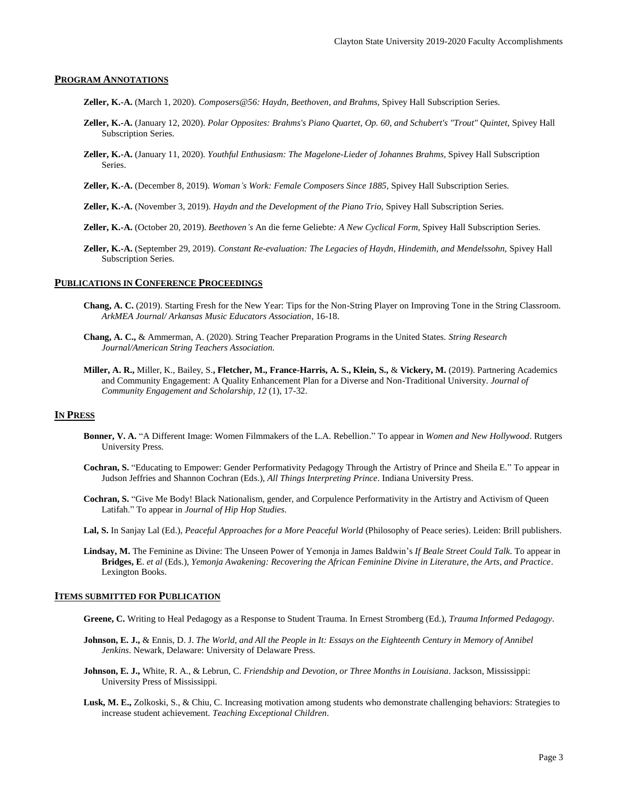## **PROGRAM ANNOTATIONS**

- **Zeller, K.-A.** (March 1, 2020). *Composers@56: Haydn, Beethoven, and Brahms,* Spivey Hall Subscription Series.
- **Zeller, K.-A.** (January 12, 2020). *Polar Opposites: Brahms's Piano Quartet, Op. 60, and Schubert's "Trout" Quintet,* Spivey Hall Subscription Series.
- **Zeller, K.-A.** (January 11, 2020). *Youthful Enthusiasm: The Magelone-Lieder of Johannes Brahms,* Spivey Hall Subscription Series.
- **Zeller, K.-A.** (December 8, 2019). *Woman's Work: Female Composers Since 1885,* Spivey Hall Subscription Series.
- **Zeller, K.-A.** (November 3, 2019). *Haydn and the Development of the Piano Trio,* Spivey Hall Subscription Series.
- **Zeller, K.-A.** (October 20, 2019). *Beethoven's* An die ferne Geliebte*: A New Cyclical Form,* Spivey Hall Subscription Series.
- **Zeller, K.-A.** (September 29, 2019). *Constant Re-evaluation: The Legacies of Haydn, Hindemith, and Mendelssohn,* Spivey Hall Subscription Series.

# **PUBLICATIONS IN CONFERENCE PROCEEDINGS**

- **Chang, A. C.** (2019). Starting Fresh for the New Year: Tips for the Non-String Player on Improving Tone in the String Classroom. *ArkMEA Journal/ Arkansas Music Educators Association*, 16-18.
- **Chang, A. C.,** & Ammerman, A. (2020). String Teacher Preparation Programs in the United States. *String Research Journal/American String Teachers Association.*
- **Miller, A. R.,** Miller, K., Bailey, S.**, Fletcher, M., France-Harris, A. S., Klein, S.,** & **Vickery, M.** (2019). Partnering Academics and Community Engagement: A Quality Enhancement Plan for a Diverse and Non-Traditional University. *Journal of Community Engagement and Scholarship, 12* (1), 17-32.

## **IN PRESS**

- **Bonner, V. A.** "A Different Image: Women Filmmakers of the L.A. Rebellion." To appear in *Women and New Hollywood*. Rutgers University Press.
- **Cochran, S.** "Educating to Empower: Gender Performativity Pedagogy Through the Artistry of Prince and Sheila E." To appear in Judson Jeffries and Shannon Cochran (Eds.), *All Things Interpreting Prince*. Indiana University Press.
- **Cochran, S.** "Give Me Body! Black Nationalism, gender, and Corpulence Performativity in the Artistry and Activism of Queen Latifah." To appear in *Journal of Hip Hop Studies.*
- **Lal, S.** In Sanjay Lal (Ed.), *Peaceful Approaches for a More Peaceful World* (Philosophy of Peace series). Leiden: Brill publishers.
- **Lindsay, M.** The Feminine as Divine: The Unseen Power of Yemonja in James Baldwin's *If Beale Street Could Talk*. To appear in **Bridges, E**. *et al* (Eds.), *Yemonja Awakening: Recovering the African Feminine Divine in Literature, the Arts, and Practice*. Lexington Books.

## **ITEMS SUBMITTED FOR PUBLICATION**

- **Greene, C.** Writing to Heal Pedagogy as a Response to Student Trauma. In Ernest Stromberg (Ed.), *Trauma Informed Pedagogy*.
- **Johnson, E. J.,** & Ennis, D. J. *The World, and All the People in It: Essays on the Eighteenth Century in Memory of Annibel Jenkins*. Newark, Delaware: University of Delaware Press.
- **Johnson, E. J.,** White, R. A., & Lebrun, C. *Friendship and Devotion, or Three Months in Louisiana*. Jackson, Mississippi: University Press of Mississippi.
- **Lusk, M. E.,** Zolkoski, S., & Chiu, C. Increasing motivation among students who demonstrate challenging behaviors: Strategies to increase student achievement*. Teaching Exceptional Children*.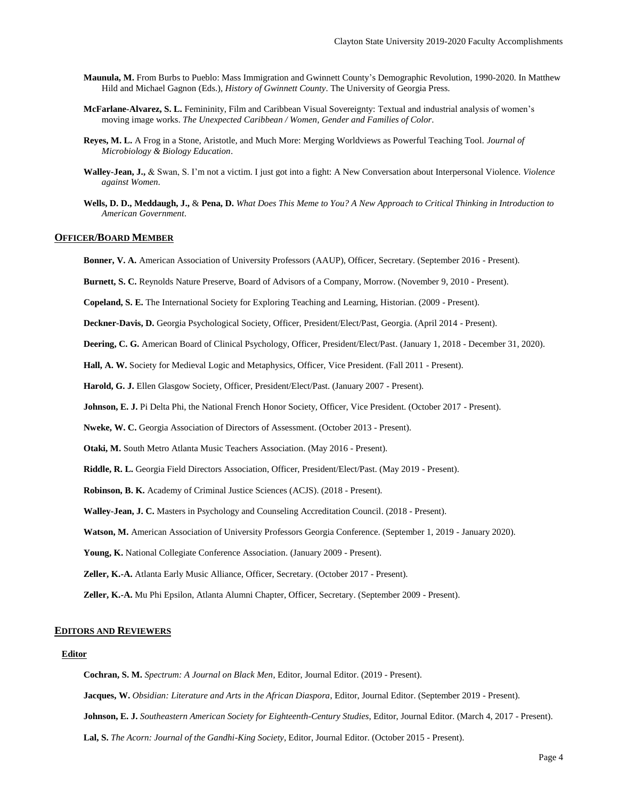- **Maunula, M.** From Burbs to Pueblo: Mass Immigration and Gwinnett County's Demographic Revolution, 1990-2020. In Matthew Hild and Michael Gagnon (Eds.), *History of Gwinnett County*. The University of Georgia Press.
- **McFarlane-Alvarez, S. L.** Femininity, Film and Caribbean Visual Sovereignty: Textual and industrial analysis of women's moving image works. *The Unexpected Caribbean / Women, Gender and Families of Color*.
- **Reyes, M. L.** A Frog in a Stone, Aristotle, and Much More: Merging Worldviews as Powerful Teaching Tool. *Journal of Microbiology & Biology Education*.
- **Walley-Jean, J.,** & Swan, S. I'm not a victim. I just got into a fight: A New Conversation about Interpersonal Violence. *Violence against Women*.
- **Wells, D. D., Meddaugh, J.,** & **Pena, D.** *What Does This Meme to You? A New Approach to Critical Thinking in Introduction to American Government*.

## **OFFICER/BOARD MEMBER**

- **Bonner, V. A.** American Association of University Professors (AAUP), Officer, Secretary. (September 2016 Present).
- **Burnett, S. C.** Reynolds Nature Preserve, Board of Advisors of a Company, Morrow. (November 9, 2010 Present).

**Copeland, S. E.** The International Society for Exploring Teaching and Learning, Historian. (2009 - Present).

**Deckner-Davis, D.** Georgia Psychological Society, Officer, President/Elect/Past, Georgia. (April 2014 - Present).

**Deering, C. G.** American Board of Clinical Psychology, Officer, President/Elect/Past. (January 1, 2018 - December 31, 2020).

**Hall, A. W.** Society for Medieval Logic and Metaphysics, Officer, Vice President. (Fall 2011 - Present).

**Harold, G. J.** Ellen Glasgow Society, Officer, President/Elect/Past. (January 2007 - Present).

**Johnson, E. J.** Pi Delta Phi, the National French Honor Society, Officer, Vice President. (October 2017 - Present).

**Nweke, W. C.** Georgia Association of Directors of Assessment. (October 2013 - Present).

**Otaki, M.** South Metro Atlanta Music Teachers Association. (May 2016 - Present).

**Riddle, R. L.** Georgia Field Directors Association, Officer, President/Elect/Past. (May 2019 - Present).

**Robinson, B. K.** Academy of Criminal Justice Sciences (ACJS). (2018 - Present).

**Walley-Jean, J. C.** Masters in Psychology and Counseling Accreditation Council. (2018 - Present).

**Watson, M.** American Association of University Professors Georgia Conference. (September 1, 2019 - January 2020).

**Young, K.** National Collegiate Conference Association. (January 2009 - Present).

**Zeller, K.-A.** Atlanta Early Music Alliance, Officer, Secretary. (October 2017 - Present).

**Zeller, K.-A.** Mu Phi Epsilon, Atlanta Alumni Chapter, Officer, Secretary. (September 2009 - Present).

## **EDITORS AND REVIEWERS**

#### **Editor**

**Cochran, S. M.** *Spectrum: A Journal on Black Men*, Editor, Journal Editor. (2019 - Present).

**Jacques, W.** *Obsidian: Literature and Arts in the African Diaspora*, Editor, Journal Editor. (September 2019 - Present).

**Johnson, E. J.** *Southeastern American Society for Eighteenth-Century Studies*, Editor, Journal Editor. (March 4, 2017 - Present).

**Lal, S.** *The Acorn: Journal of the Gandhi-King Society*, Editor, Journal Editor. (October 2015 - Present).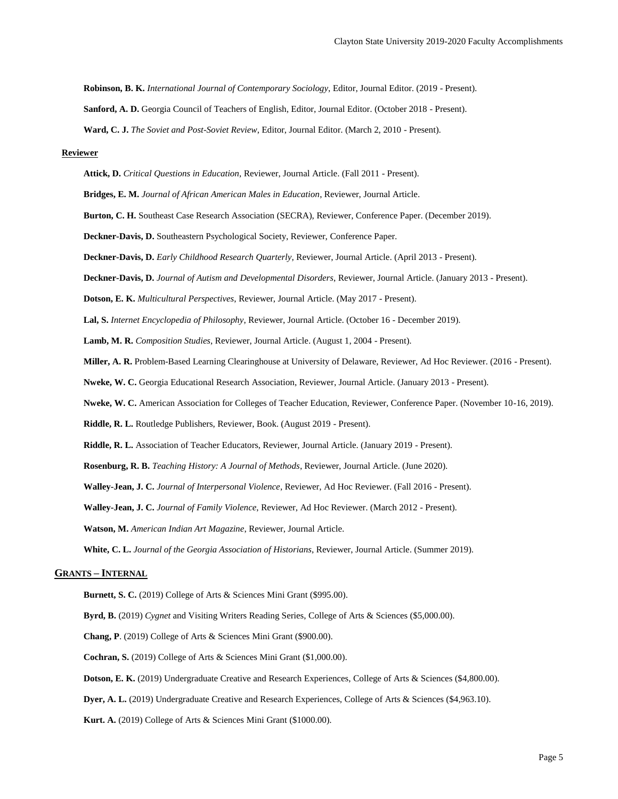**Robinson, B. K.** *International Journal of Contemporary Sociology*, Editor, Journal Editor. (2019 - Present).

**Sanford, A. D.** Georgia Council of Teachers of English, Editor, Journal Editor. (October 2018 - Present).

**Ward, C. J.** *The Soviet and Post-Soviet Review*, Editor, Journal Editor. (March 2, 2010 - Present).

#### **Reviewer**

**Attick, D.** *Critical Questions in Education*, Reviewer, Journal Article. (Fall 2011 - Present).

**Bridges, E. M.** *Journal of African American Males in Education*, Reviewer, Journal Article.

**Burton, C. H.** Southeast Case Research Association (SECRA), Reviewer, Conference Paper. (December 2019).

**Deckner-Davis, D.** Southeastern Psychological Society, Reviewer, Conference Paper.

**Deckner-Davis, D.** *Early Childhood Research Quarterly*, Reviewer, Journal Article. (April 2013 - Present).

**Deckner-Davis, D.** *Journal of Autism and Developmental Disorders*, Reviewer, Journal Article. (January 2013 - Present).

**Dotson, E. K.** *Multicultural Perspectives*, Reviewer, Journal Article. (May 2017 - Present).

**Lal, S.** *Internet Encyclopedia of Philosophy*, Reviewer, Journal Article. (October 16 - December 2019).

**Lamb, M. R.** *Composition Studies*, Reviewer, Journal Article. (August 1, 2004 - Present).

**Miller, A. R.** Problem-Based Learning Clearinghouse at University of Delaware, Reviewer, Ad Hoc Reviewer. (2016 - Present).

**Nweke, W. C.** Georgia Educational Research Association, Reviewer, Journal Article. (January 2013 - Present).

**Nweke, W. C.** American Association for Colleges of Teacher Education, Reviewer, Conference Paper. (November 10-16, 2019).

**Riddle, R. L.** Routledge Publishers, Reviewer, Book. (August 2019 - Present).

**Riddle, R. L.** Association of Teacher Educators, Reviewer, Journal Article. (January 2019 - Present).

**Rosenburg, R. B.** *Teaching History: A Journal of Methods*, Reviewer, Journal Article. (June 2020).

**Walley-Jean, J. C.** *Journal of Interpersonal Violence*, Reviewer, Ad Hoc Reviewer. (Fall 2016 - Present).

**Walley-Jean, J. C.** *Journal of Family Violence*, Reviewer, Ad Hoc Reviewer. (March 2012 - Present).

**Watson, M.** *American Indian Art Magazine*, Reviewer, Journal Article.

**White, C. L.** *Journal of the Georgia Association of Historians*, Reviewer, Journal Article. (Summer 2019).

### **GRANTS – INTERNAL**

**Burnett, S. C.** (2019) College of Arts & Sciences Mini Grant (\$995.00).

**Byrd, B.** (2019) *Cygnet* and Visiting Writers Reading Series, College of Arts & Sciences (\$5,000.00).

**Chang, P**. (2019) College of Arts & Sciences Mini Grant (\$900.00).

**Cochran, S.** (2019) College of Arts & Sciences Mini Grant (\$1,000.00).

**Dotson, E. K.** (2019) Undergraduate Creative and Research Experiences, College of Arts & Sciences (\$4,800.00).

**Dyer, A. L.** (2019) Undergraduate Creative and Research Experiences, College of Arts & Sciences (\$4,963.10).

**Kurt. A.** (2019) College of Arts & Sciences Mini Grant (\$1000.00).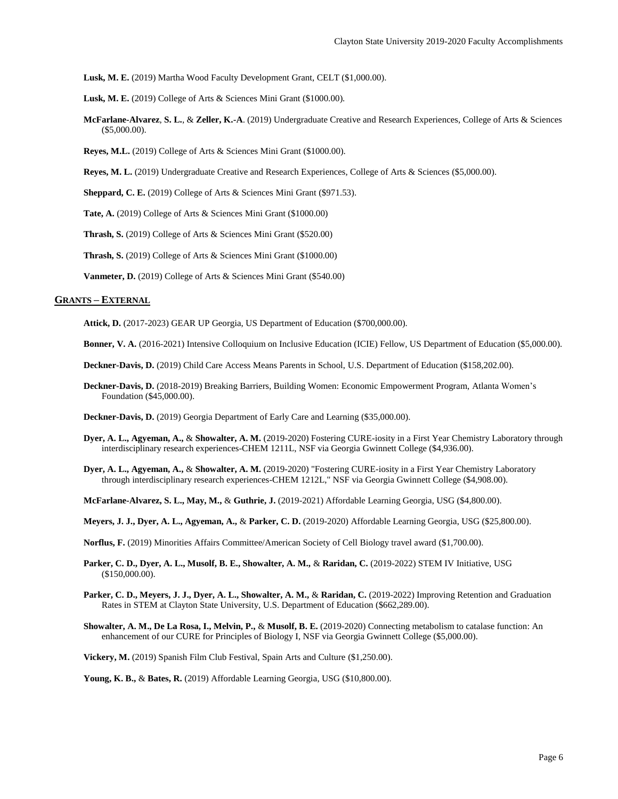**Lusk, M. E.** (2019) Martha Wood Faculty Development Grant, CELT (\$1,000.00).

**Lusk, M. E.** (2019) College of Arts & Sciences Mini Grant (\$1000.00).

- **McFarlane-Alvarez**, **S. L.**, & **Zeller, K.-A**. (2019) Undergraduate Creative and Research Experiences, College of Arts & Sciences (\$5,000.00).
- **Reyes, M.L.** (2019) College of Arts & Sciences Mini Grant (\$1000.00).

**Reyes, M. L.** (2019) Undergraduate Creative and Research Experiences, College of Arts & Sciences (\$5,000.00).

**Sheppard, C. E.** (2019) College of Arts & Sciences Mini Grant (\$971.53).

**Tate, A.** (2019) College of Arts & Sciences Mini Grant (\$1000.00)

**Thrash, S.** (2019) College of Arts & Sciences Mini Grant (\$520.00)

**Thrash, S.** (2019) College of Arts & Sciences Mini Grant (\$1000.00)

**Vanmeter, D.** (2019) College of Arts & Sciences Mini Grant (\$540.00)

# **GRANTS – EXTERNAL**

**Attick, D.** (2017-2023) GEAR UP Georgia, US Department of Education (\$700,000.00).

**Bonner, V. A.** (2016-2021) Intensive Colloquium on Inclusive Education (ICIE) Fellow, US Department of Education (\$5,000.00).

**Deckner-Davis, D.** (2019) Child Care Access Means Parents in School, U.S. Department of Education (\$158,202.00).

**Deckner-Davis, D.** (2018-2019) Breaking Barriers, Building Women: Economic Empowerment Program, Atlanta Women's Foundation (\$45,000.00).

**Deckner-Davis, D.** (2019) Georgia Department of Early Care and Learning (\$35,000.00).

- **Dyer, A. L., Agyeman, A.,** & **Showalter, A. M.** (2019-2020) Fostering CURE-iosity in a First Year Chemistry Laboratory through interdisciplinary research experiences-CHEM 1211L, NSF via Georgia Gwinnett College (\$4,936.00).
- **Dyer, A. L., Agyeman, A.,** & **Showalter, A. M.** (2019-2020) "Fostering CURE-iosity in a First Year Chemistry Laboratory through interdisciplinary research experiences-CHEM 1212L," NSF via Georgia Gwinnett College (\$4,908.00).

**McFarlane-Alvarez, S. L., May, M.,** & **Guthrie, J.** (2019-2021) Affordable Learning Georgia, USG (\$4,800.00).

**Meyers, J. J., Dyer, A. L., Agyeman, A.,** & **Parker, C. D.** (2019-2020) Affordable Learning Georgia, USG (\$25,800.00).

**Norflus, F.** (2019) Minorities Affairs Committee/American Society of Cell Biology travel award (\$1,700.00).

- **Parker, C. D., Dyer, A. L., Musolf, B. E., Showalter, A. M.,** & **Raridan, C.** (2019-2022) STEM IV Initiative, USG (\$150,000.00).
- **Parker, C. D., Meyers, J. J., Dyer, A. L., Showalter, A. M.,** & **Raridan, C.** (2019-2022) Improving Retention and Graduation Rates in STEM at Clayton State University, U.S. Department of Education (\$662,289.00).
- **Showalter, A. M., De La Rosa, I., Melvin, P.,** & **Musolf, B. E.** (2019-2020) Connecting metabolism to catalase function: An enhancement of our CURE for Principles of Biology I, NSF via Georgia Gwinnett College (\$5,000.00).

**Vickery, M.** (2019) Spanish Film Club Festival, Spain Arts and Culture (\$1,250.00).

**Young, K. B.,** & **Bates, R.** (2019) Affordable Learning Georgia, USG (\$10,800.00).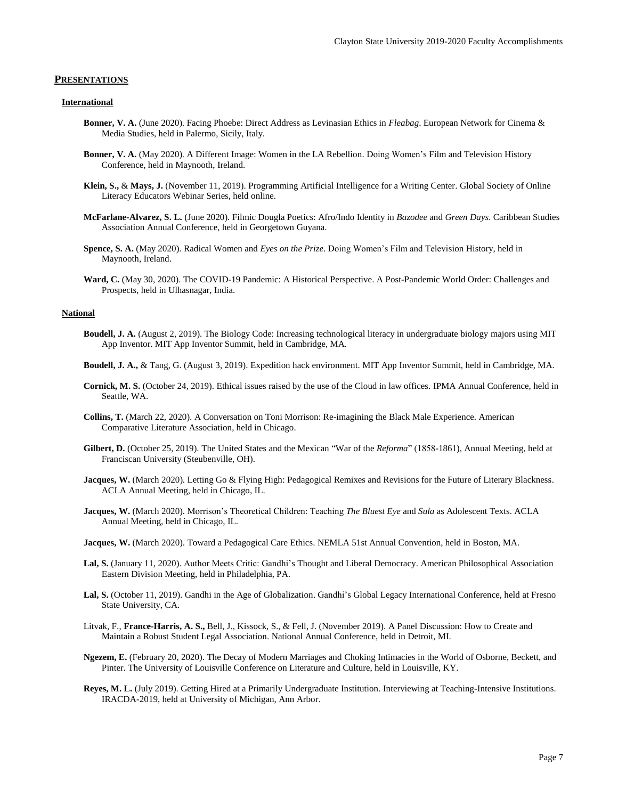#### **PRESENTATIONS**

#### **International**

- **Bonner, V. A.** (June 2020). Facing Phoebe: Direct Address as Levinasian Ethics in *Fleabag*. European Network for Cinema & Media Studies, held in Palermo, Sicily, Italy.
- **Bonner, V. A.** (May 2020). A Different Image: Women in the LA Rebellion. Doing Women's Film and Television History Conference, held in Maynooth, Ireland.
- **Klein, S.,** & **Mays, J.** (November 11, 2019). Programming Artificial Intelligence for a Writing Center. Global Society of Online Literacy Educators Webinar Series, held online.
- **McFarlane-Alvarez, S. L.** (June 2020). Filmic Dougla Poetics: Afro/Indo Identity in *Bazodee* and *Green Days*. Caribbean Studies Association Annual Conference, held in Georgetown Guyana.
- **Spence, S. A.** (May 2020). Radical Women and *Eyes on the Prize*. Doing Women's Film and Television History, held in Maynooth, Ireland.
- **Ward, C.** (May 30, 2020). The COVID-19 Pandemic: A Historical Perspective. A Post-Pandemic World Order: Challenges and Prospects, held in Ulhasnagar, India.

#### **National**

- **Boudell, J. A.** (August 2, 2019). The Biology Code: Increasing technological literacy in undergraduate biology majors using MIT App Inventor. MIT App Inventor Summit, held in Cambridge, MA.
- **Boudell, J. A.,** & Tang, G. (August 3, 2019). Expedition hack environment. MIT App Inventor Summit, held in Cambridge, MA.
- **Cornick, M. S.** (October 24, 2019). Ethical issues raised by the use of the Cloud in law offices. IPMA Annual Conference, held in Seattle, WA.
- **Collins, T.** (March 22, 2020). A Conversation on Toni Morrison: Re-imagining the Black Male Experience. American Comparative Literature Association, held in Chicago.
- **Gilbert, D.** (October 25, 2019). The United States and the Mexican "War of the *Reforma*" (1858-1861), Annual Meeting, held at Franciscan University (Steubenville, OH).
- **Jacques, W.** (March 2020). Letting Go & Flying High: Pedagogical Remixes and Revisions for the Future of Literary Blackness. ACLA Annual Meeting, held in Chicago, IL.
- **Jacques, W.** (March 2020). Morrison's Theoretical Children: Teaching *The Bluest Eye* and *Sula* as Adolescent Texts. ACLA Annual Meeting, held in Chicago, IL.
- **Jacques, W.** (March 2020). Toward a Pedagogical Care Ethics. NEMLA 51st Annual Convention, held in Boston, MA.
- **Lal, S.** (January 11, 2020). Author Meets Critic: Gandhi's Thought and Liberal Democracy. American Philosophical Association Eastern Division Meeting, held in Philadelphia, PA.
- **Lal, S.** (October 11, 2019). Gandhi in the Age of Globalization. Gandhi's Global Legacy International Conference, held at Fresno State University, CA.
- Litvak, F., **France-Harris, A. S.,** Bell, J., Kissock, S., & Fell, J. (November 2019). A Panel Discussion: How to Create and Maintain a Robust Student Legal Association. National Annual Conference, held in Detroit, MI.
- **Ngezem, E.** (February 20, 2020). The Decay of Modern Marriages and Choking Intimacies in the World of Osborne, Beckett, and Pinter. The University of Louisville Conference on Literature and Culture, held in Louisville, KY.
- **Reyes, M. L.** (July 2019). Getting Hired at a Primarily Undergraduate Institution. Interviewing at Teaching-Intensive Institutions. IRACDA-2019, held at University of Michigan, Ann Arbor.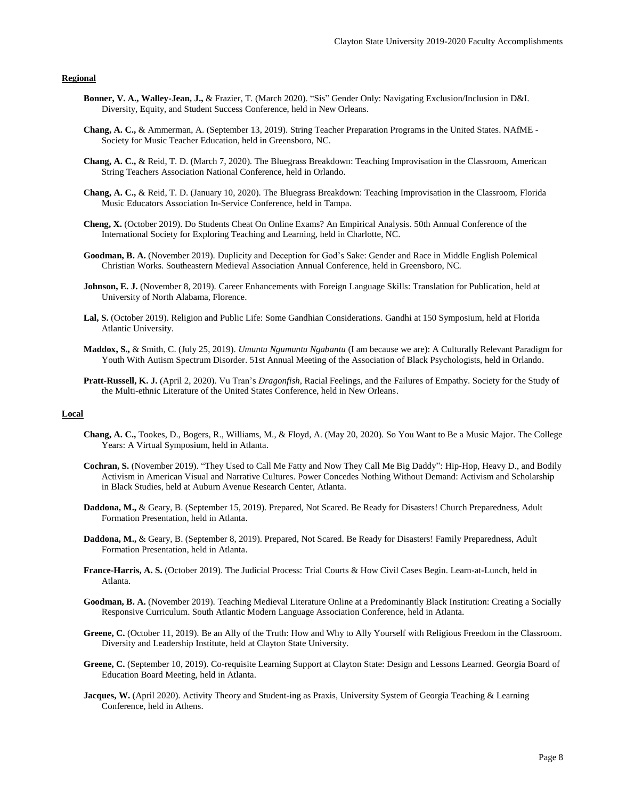# **Regional**

- **Bonner, V. A., Walley-Jean, J.,** & Frazier, T. (March 2020). "Sis" Gender Only: Navigating Exclusion/Inclusion in D&I. Diversity, Equity, and Student Success Conference, held in New Orleans.
- **Chang, A. C.,** & Ammerman, A. (September 13, 2019). String Teacher Preparation Programs in the United States. NAfME Society for Music Teacher Education, held in Greensboro, NC.
- **Chang, A. C.,** & Reid, T. D. (March 7, 2020). The Bluegrass Breakdown: Teaching Improvisation in the Classroom, American String Teachers Association National Conference, held in Orlando.
- **Chang, A. C.,** & Reid, T. D. (January 10, 2020). The Bluegrass Breakdown: Teaching Improvisation in the Classroom, Florida Music Educators Association In-Service Conference, held in Tampa.
- **Cheng, X.** (October 2019). Do Students Cheat On Online Exams? An Empirical Analysis. 50th Annual Conference of the International Society for Exploring Teaching and Learning, held in Charlotte, NC.
- **Goodman, B. A.** (November 2019). Duplicity and Deception for God's Sake: Gender and Race in Middle English Polemical Christian Works. Southeastern Medieval Association Annual Conference, held in Greensboro, NC.
- **Johnson, E. J.** (November 8, 2019). Career Enhancements with Foreign Language Skills: Translation for Publication, held at University of North Alabama, Florence.
- **Lal, S.** (October 2019). Religion and Public Life: Some Gandhian Considerations. Gandhi at 150 Symposium, held at Florida Atlantic University.
- **Maddox, S.,** & Smith, C. (July 25, 2019). *Umuntu Ngumuntu Ngabantu* (I am because we are): A Culturally Relevant Paradigm for Youth With Autism Spectrum Disorder. 51st Annual Meeting of the Association of Black Psychologists, held in Orlando.
- **Pratt-Russell, K. J.** (April 2, 2020). Vu Tran's *Dragonfish*, Racial Feelings, and the Failures of Empathy. Society for the Study of the Multi-ethnic Literature of the United States Conference, held in New Orleans.

# **Local**

- **Chang, A. C.,** Tookes, D., Bogers, R., Williams, M., & Floyd, A. (May 20, 2020). So You Want to Be a Music Major. The College Years: A Virtual Symposium, held in Atlanta.
- **Cochran, S.** (November 2019). "They Used to Call Me Fatty and Now They Call Me Big Daddy": Hip-Hop, Heavy D., and Bodily Activism in American Visual and Narrative Cultures. Power Concedes Nothing Without Demand: Activism and Scholarship in Black Studies, held at Auburn Avenue Research Center, Atlanta.
- **Daddona, M.,** & Geary, B. (September 15, 2019). Prepared, Not Scared. Be Ready for Disasters! Church Preparedness, Adult Formation Presentation, held in Atlanta.
- **Daddona, M.,** & Geary, B. (September 8, 2019). Prepared, Not Scared. Be Ready for Disasters! Family Preparedness, Adult Formation Presentation, held in Atlanta.
- **France-Harris, A. S.** (October 2019). The Judicial Process: Trial Courts & How Civil Cases Begin. Learn-at-Lunch, held in Atlanta.
- **Goodman, B. A.** (November 2019). Teaching Medieval Literature Online at a Predominantly Black Institution: Creating a Socially Responsive Curriculum. South Atlantic Modern Language Association Conference, held in Atlanta.
- **Greene, C.** (October 11, 2019). Be an Ally of the Truth: How and Why to Ally Yourself with Religious Freedom in the Classroom. Diversity and Leadership Institute, held at Clayton State University.
- **Greene, C.** (September 10, 2019). Co-requisite Learning Support at Clayton State: Design and Lessons Learned. Georgia Board of Education Board Meeting, held in Atlanta.
- **Jacques, W.** (April 2020). Activity Theory and Student-ing as Praxis, University System of Georgia Teaching & Learning Conference, held in Athens.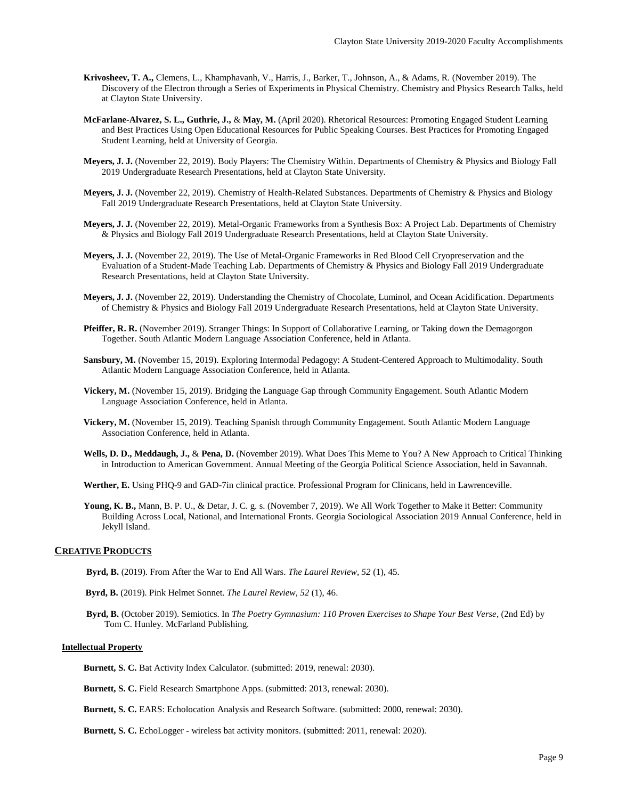- **Krivosheev, T. A.,** Clemens, L., Khamphavanh, V., Harris, J., Barker, T., Johnson, A., & Adams, R. (November 2019). The Discovery of the Electron through a Series of Experiments in Physical Chemistry. Chemistry and Physics Research Talks, held at Clayton State University.
- **McFarlane-Alvarez, S. L., Guthrie, J.,** & **May, M.** (April 2020). Rhetorical Resources: Promoting Engaged Student Learning and Best Practices Using Open Educational Resources for Public Speaking Courses. Best Practices for Promoting Engaged Student Learning, held at University of Georgia.
- **Meyers, J. J.** (November 22, 2019). Body Players: The Chemistry Within. Departments of Chemistry & Physics and Biology Fall 2019 Undergraduate Research Presentations, held at Clayton State University.
- **Meyers, J. J.** (November 22, 2019). Chemistry of Health-Related Substances. Departments of Chemistry & Physics and Biology Fall 2019 Undergraduate Research Presentations, held at Clayton State University.
- **Meyers, J. J.** (November 22, 2019). Metal-Organic Frameworks from a Synthesis Box: A Project Lab. Departments of Chemistry & Physics and Biology Fall 2019 Undergraduate Research Presentations, held at Clayton State University.
- **Meyers, J. J.** (November 22, 2019). The Use of Metal-Organic Frameworks in Red Blood Cell Cryopreservation and the Evaluation of a Student-Made Teaching Lab. Departments of Chemistry & Physics and Biology Fall 2019 Undergraduate Research Presentations, held at Clayton State University.
- **Meyers, J. J.** (November 22, 2019). Understanding the Chemistry of Chocolate, Luminol, and Ocean Acidification. Departments of Chemistry & Physics and Biology Fall 2019 Undergraduate Research Presentations, held at Clayton State University.
- **Pfeiffer, R. R.** (November 2019). Stranger Things: In Support of Collaborative Learning, or Taking down the Demagorgon Together. South Atlantic Modern Language Association Conference, held in Atlanta.
- **Sansbury, M.** (November 15, 2019). Exploring Intermodal Pedagogy: A Student-Centered Approach to Multimodality. South Atlantic Modern Language Association Conference, held in Atlanta.
- **Vickery, M.** (November 15, 2019). Bridging the Language Gap through Community Engagement. South Atlantic Modern Language Association Conference, held in Atlanta.
- **Vickery, M.** (November 15, 2019). Teaching Spanish through Community Engagement. South Atlantic Modern Language Association Conference, held in Atlanta.
- **Wells, D. D., Meddaugh, J.,** & **Pena, D.** (November 2019). What Does This Meme to You? A New Approach to Critical Thinking in Introduction to American Government. Annual Meeting of the Georgia Political Science Association, held in Savannah.
- **Werther, E.** Using PHQ-9 and GAD-7in clinical practice. Professional Program for Clinicans, held in Lawrenceville.
- **Young, K. B.,** Mann, B. P. U., & Detar, J. C. g. s. (November 7, 2019). We All Work Together to Make it Better: Community Building Across Local, National, and International Fronts. Georgia Sociological Association 2019 Annual Conference, held in Jekyll Island.

#### **CREATIVE PRODUCTS**

- **Byrd, B.** (2019). From After the War to End All Wars. *The Laurel Review, 52* (1), 45.
- **Byrd, B.** (2019). Pink Helmet Sonnet. *The Laurel Review, 52* (1), 46.
- **Byrd, B.** (October 2019). Semiotics. In *The Poetry Gymnasium: 110 Proven Exercises to Shape Your Best Verse*, (2nd Ed) by Tom C. Hunley. McFarland Publishing.

### **Intellectual Property**

**Burnett, S. C.** Bat Activity Index Calculator. (submitted: 2019, renewal: 2030).

**Burnett, S. C.** Field Research Smartphone Apps. (submitted: 2013, renewal: 2030).

**Burnett, S. C.** EARS: Echolocation Analysis and Research Software. (submitted: 2000, renewal: 2030).

**Burnett, S. C.** EchoLogger - wireless bat activity monitors. (submitted: 2011, renewal: 2020).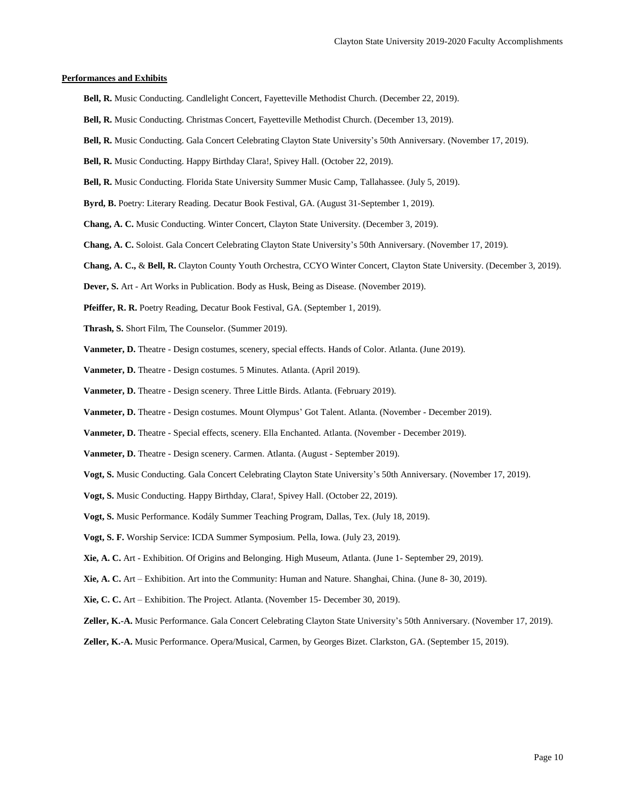#### **Performances and Exhibits**

- **Bell, R.** Music Conducting. Candlelight Concert, Fayetteville Methodist Church. (December 22, 2019).
- **Bell, R.** Music Conducting. Christmas Concert, Fayetteville Methodist Church. (December 13, 2019).
- **Bell, R.** Music Conducting. Gala Concert Celebrating Clayton State University's 50th Anniversary. (November 17, 2019).
- **Bell, R.** Music Conducting. Happy Birthday Clara!, Spivey Hall. (October 22, 2019).
- **Bell, R.** Music Conducting. Florida State University Summer Music Camp, Tallahassee. (July 5, 2019).
- Byrd, B. Poetry: Literary Reading. Decatur Book Festival, GA. (August 31-September 1, 2019).
- **Chang, A. C.** Music Conducting. Winter Concert, Clayton State University. (December 3, 2019).
- **Chang, A. C.** Soloist. Gala Concert Celebrating Clayton State University's 50th Anniversary. (November 17, 2019).
- **Chang, A. C.,** & **Bell, R.** Clayton County Youth Orchestra, CCYO Winter Concert, Clayton State University. (December 3, 2019).
- **Dever, S.** Art Art Works in Publication. Body as Husk, Being as Disease. (November 2019).
- **Pfeiffer, R. R.** Poetry Reading, Decatur Book Festival, GA. (September 1, 2019).
- **Thrash, S.** Short Film, The Counselor. (Summer 2019).
- **Vanmeter, D.** Theatre Design costumes, scenery, special effects. Hands of Color. Atlanta. (June 2019).
- **Vanmeter, D.** Theatre Design costumes. 5 Minutes. Atlanta. (April 2019).
- **Vanmeter, D.** Theatre Design scenery. Three Little Birds. Atlanta. (February 2019).
- **Vanmeter, D.** Theatre Design costumes. Mount Olympus' Got Talent. Atlanta. (November December 2019).
- **Vanmeter, D.** Theatre Special effects, scenery. Ella Enchanted. Atlanta. (November December 2019).
- **Vanmeter, D.** Theatre Design scenery. Carmen. Atlanta. (August September 2019).
- **Vogt, S.** Music Conducting. Gala Concert Celebrating Clayton State University's 50th Anniversary. (November 17, 2019).
- **Vogt, S.** Music Conducting. Happy Birthday, Clara!, Spivey Hall. (October 22, 2019).
- **Vogt, S.** Music Performance. Kodály Summer Teaching Program, Dallas, Tex. (July 18, 2019).
- **Vogt, S. F.** Worship Service: ICDA Summer Symposium. Pella, Iowa. (July 23, 2019).
- **Xie, A. C.** Art Exhibition. Of Origins and Belonging. High Museum, Atlanta. (June 1- September 29, 2019).
- **Xie, A. C.** Art Exhibition. Art into the Community: Human and Nature. Shanghai, China. (June 8- 30, 2019).
- **Xie, C. C.** Art Exhibition. The Project. Atlanta. (November 15- December 30, 2019).
- **Zeller, K.-A.** Music Performance. Gala Concert Celebrating Clayton State University's 50th Anniversary. (November 17, 2019).
- **Zeller, K.-A.** Music Performance. Opera/Musical, Carmen, by Georges Bizet. Clarkston, GA. (September 15, 2019).